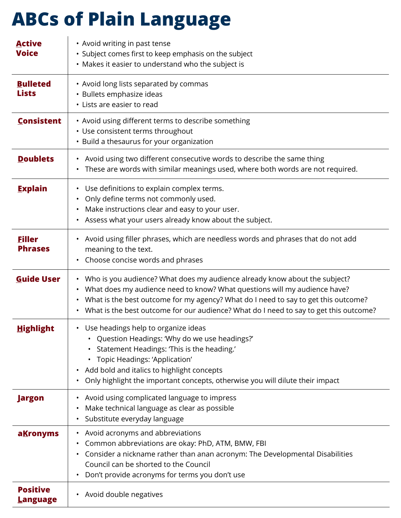## **ABCs of Plain Language**

| <b>Active</b><br><b>Voice</b>      | • Avoid writing in past tense<br>• Subject comes first to keep emphasis on the subject<br>• Makes it easier to understand who the subject is                                                                                                                                                                                                                         |
|------------------------------------|----------------------------------------------------------------------------------------------------------------------------------------------------------------------------------------------------------------------------------------------------------------------------------------------------------------------------------------------------------------------|
| <b>Bulleted</b><br><b>Lists</b>    | • Avoid long lists separated by commas<br>· Bullets emphasize ideas<br>• Lists are easier to read                                                                                                                                                                                                                                                                    |
| <b>Consistent</b>                  | • Avoid using different terms to describe something<br>• Use consistent terms throughout<br>• Build a thesaurus for your organization                                                                                                                                                                                                                                |
| <b>Doublets</b>                    | • Avoid using two different consecutive words to describe the same thing<br>• These are words with similar meanings used, where both words are not required.                                                                                                                                                                                                         |
| <b>Explain</b>                     | Use definitions to explain complex terms.<br>$\bullet$<br>Only define terms not commonly used.<br>Make instructions clear and easy to your user.<br>Assess what your users already know about the subject.<br>$\bullet$                                                                                                                                              |
| <b>Filler</b><br><b>Phrases</b>    | • Avoid using filler phrases, which are needless words and phrases that do not add<br>meaning to the text.<br>• Choose concise words and phrases                                                                                                                                                                                                                     |
| <b>Guide User</b>                  | Who is you audience? What does my audience already know about the subject?<br>$\bullet$<br>• What does my audience need to know? What questions will my audience have?<br>• What is the best outcome for my agency? What do I need to say to get this outcome?<br>What is the best outcome for our audience? What do I need to say to get this outcome?<br>$\bullet$ |
| <b>Highlight</b>                   | • Use headings help to organize ideas<br>• Question Headings: 'Why do we use headings?'<br>Statement Headings: 'This is the heading.'<br>$\bullet$<br>Topic Headings: 'Application'<br>٠<br>Add bold and italics to highlight concepts<br>$\bullet$<br>Only highlight the important concepts, otherwise you will dilute their impact<br>$\bullet$                    |
| <b>Jargon</b>                      | Avoid using complicated language to impress<br>$\bullet$<br>Make technical language as clear as possible<br>٠<br>Substitute everyday language<br>$\bullet$                                                                                                                                                                                                           |
| aKronyms                           | • Avoid acronyms and abbreviations<br>Common abbreviations are okay: PhD, ATM, BMW, FBI<br>٠<br>Consider a nickname rather than anan acronym: The Developmental Disabilities<br>$\bullet$<br>Council can be shorted to the Council<br>Don't provide acronyms for terms you don't use<br>$\bullet$                                                                    |
| <b>Positive</b><br><b>Language</b> | Avoid double negatives<br>$\bullet$                                                                                                                                                                                                                                                                                                                                  |